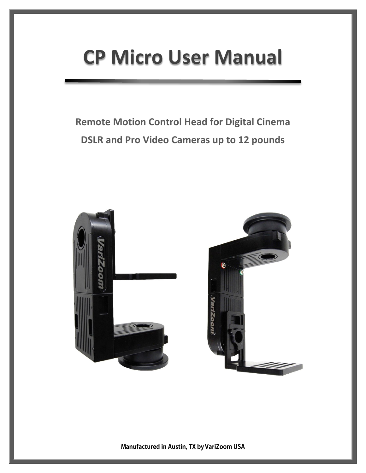# **CP Micro User Manual**

# **Remote Motion Control Head for Digital Cinema DSLR and Pro Video Cameras up to 12 pounds**





Manufactured in Austin, TX by VariZoom USA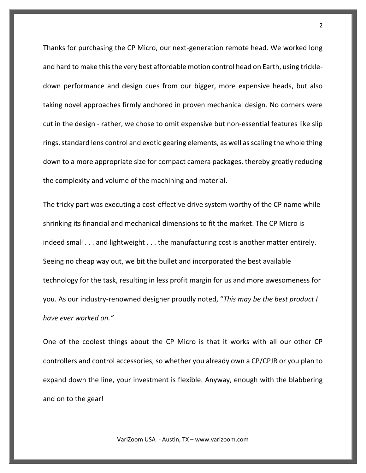Thanks for purchasing the CP Micro, our next-generation remote head. We worked long and hard to make this the very best affordable motion control head on Earth, using trickledown performance and design cues from our bigger, more expensive heads, but also taking novel approaches firmly anchored in proven mechanical design. No corners were cut in the design - rather, we chose to omit expensive but non-essential features like slip rings, standard lens control and exotic gearing elements, as well as scaling the whole thing down to a more appropriate size for compact camera packages, thereby greatly reducing the complexity and volume of the machining and material.

The tricky part was executing a cost-effective drive system worthy of the CP name while shrinking its financial and mechanical dimensions to fit the market. The CP Micro is indeed small . . . and lightweight . . . the manufacturing cost is another matter entirely. Seeing no cheap way out, we bit the bullet and incorporated the best available technology for the task, resulting in less profit margin for us and more awesomeness for you. As our industry-renowned designer proudly noted, "*This may be the best product I have ever worked on."*

One of the coolest things about the CP Micro is that it works with all our other CP controllers and control accessories, so whether you already own a CP/CPJR or you plan to expand down the line, your investment is flexible. Anyway, enough with the blabbering and on to the gear!

2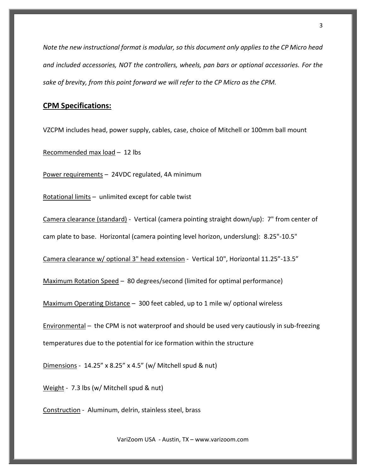*Note the new instructional format is modular, so this document only applies to the CP Micro head and included accessories, NOT the controllers, wheels, pan bars or optional accessories. For the sake of brevity, from this point forward we will refer to the CP Micro as the CPM.*

# **CPM Specifications:**

VZCPM includes head, power supply, cables, case, choice of Mitchell or 100mm ball mount

Recommended max load – 12 lbs

Power requirements – 24VDC regulated, 4A minimum

Rotational limits – unlimited except for cable twist

Camera clearance (standard) - Vertical (camera pointing straight down/up): 7" from center of

cam plate to base. Horizontal (camera pointing level horizon, underslung): 8.25"-10.5"

Camera clearance w/ optional 3" head extension - Vertical 10", Horizontal 11.25"-13.5"

Maximum Rotation Speed – 80 degrees/second (limited for optimal performance)

Maximum Operating Distance – 300 feet cabled, up to 1 mile w/ optional wireless

Environmental – the CPM is not waterproof and should be used very cautiously in sub-freezing temperatures due to the potential for ice formation within the structure

Dimensions - 14.25" x 8.25" x 4.5" (w/ Mitchell spud & nut)

Weight - 7.3 lbs (w/ Mitchell spud & nut)

Construction - Aluminum, delrin, stainless steel, brass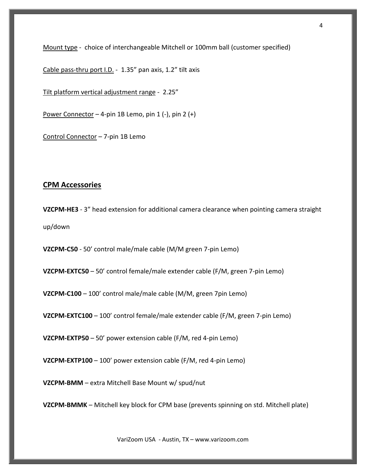Mount type - choice of interchangeable Mitchell or 100mm ball (customer specified)

Cable pass-thru port I.D. - 1.35" pan axis, 1.2" tilt axis

Tilt platform vertical adjustment range - 2.25"

Power Connector  $-$  4-pin 1B Lemo, pin 1 (-), pin 2 (+)

Control Connector – 7-pin 1B Lemo

#### **CPM Accessories**

**VZCPM-HE3** - 3" head extension for additional camera clearance when pointing camera straight up/down

**VZCPM-C50** - 50' control male/male cable (M/M green 7-pin Lemo)

**VZCPM-EXTC50** – 50' control female/male extender cable (F/M, green 7-pin Lemo)

**VZCPM-C100** – 100' control male/male cable (M/M, green 7pin Lemo)

**VZCPM-EXTC100** – 100' control female/male extender cable (F/M, green 7-pin Lemo)

**VZCPM-EXTP50** – 50' power extension cable (F/M, red 4-pin Lemo)

**VZCPM-EXTP100** – 100' power extension cable (F/M, red 4-pin Lemo)

**VZCPM-BMM** – extra Mitchell Base Mount w/ spud/nut

**VZCPM-BMMK** – Mitchell key block for CPM base (prevents spinning on std. Mitchell plate)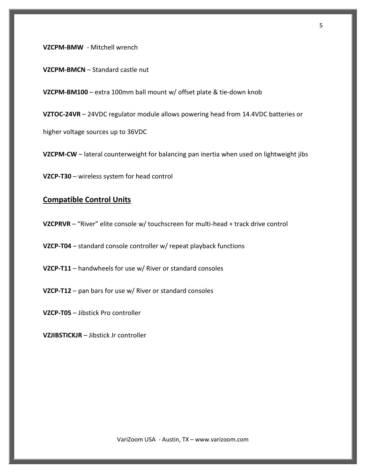**VZCPM-BMW** - Mitchell wrench

**VZCPM-BMCN** – Standard castle nut

**VZCPM-BM100** – extra 100mm ball mount w/ offset plate & tie-down knob

**VZTOC-24VR** – 24VDC regulator module allows powering head from 14.4VDC batteries or

higher voltage sources up to 36VDC

**VZCPM-CW** – lateral counterweight for balancing pan inertia when used on lightweight jibs

**VZCP-T30** – wireless system for head control

# **Compatible Control Units**

**VZCPRVR** – "River" elite console w/ touchscreen for multi-head + track drive control

**VZCP-T04** – standard console controller w/ repeat playback functions

**VZCP-T11** – handwheels for use w/ River or standard consoles

**VZCP-T12** – pan bars for use w/ River or standard consoles

**VZCP-T05** – Jibstick Pro controller

**VZJIBSTICKJR** – Jibstick Jr controller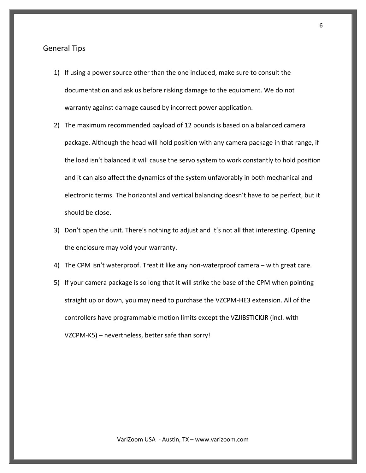#### General Tips

- 1) If using a power source other than the one included, make sure to consult the documentation and ask us before risking damage to the equipment. We do not warranty against damage caused by incorrect power application.
- 2) The maximum recommended payload of 12 pounds is based on a balanced camera package. Although the head will hold position with any camera package in that range, if the load isn't balanced it will cause the servo system to work constantly to hold position and it can also affect the dynamics of the system unfavorably in both mechanical and electronic terms. The horizontal and vertical balancing doesn't have to be perfect, but it should be close.
- 3) Don't open the unit. There's nothing to adjust and it's not all that interesting. Opening the enclosure may void your warranty.
- 4) The CPM isn't waterproof. Treat it like any non-waterproof camera with great care.
- 5) If your camera package is so long that it will strike the base of the CPM when pointing straight up or down, you may need to purchase the VZCPM-HE3 extension. All of the controllers have programmable motion limits except the VZJIBSTICKJR (incl. with VZCPM-K5) – nevertheless, better safe than sorry!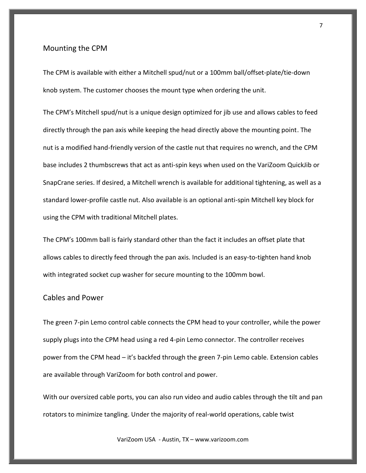#### Mounting the CPM

The CPM is available with either a Mitchell spud/nut or a 100mm ball/offset-plate/tie-down knob system. The customer chooses the mount type when ordering the unit.

The CPM's Mitchell spud/nut is a unique design optimized for jib use and allows cables to feed directly through the pan axis while keeping the head directly above the mounting point. The nut is a modified hand-friendly version of the castle nut that requires no wrench, and the CPM base includes 2 thumbscrews that act as anti-spin keys when used on the VariZoom QuickJib or SnapCrane series. If desired, a Mitchell wrench is available for additional tightening, as well as a standard lower-profile castle nut. Also available is an optional anti-spin Mitchell key block for using the CPM with traditional Mitchell plates.

The CPM's 100mm ball is fairly standard other than the fact it includes an offset plate that allows cables to directly feed through the pan axis. Included is an easy-to-tighten hand knob with integrated socket cup washer for secure mounting to the 100mm bowl.

### Cables and Power

The green 7-pin Lemo control cable connects the CPM head to your controller, while the power supply plugs into the CPM head using a red 4-pin Lemo connector. The controller receives power from the CPM head – it's backfed through the green 7-pin Lemo cable. Extension cables are available through VariZoom for both control and power.

With our oversized cable ports, you can also run video and audio cables through the tilt and pan rotators to minimize tangling. Under the majority of real-world operations, cable twist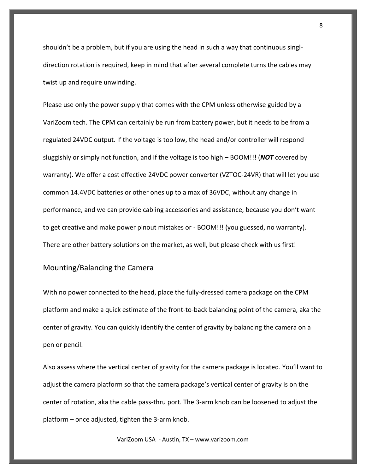shouldn't be a problem, but if you are using the head in such a way that continuous singldirection rotation is required, keep in mind that after several complete turns the cables may twist up and require unwinding.

Please use only the power supply that comes with the CPM unless otherwise guided by a VariZoom tech. The CPM can certainly be run from battery power, but it needs to be from a regulated 24VDC output. If the voltage is too low, the head and/or controller will respond sluggishly or simply not function, and if the voltage is too high – BOOM!!! (*NOT* covered by warranty). We offer a cost effective 24VDC power converter (VZTOC-24VR) that will let you use common 14.4VDC batteries or other ones up to a max of 36VDC, without any change in performance, and we can provide cabling accessories and assistance, because you don't want to get creative and make power pinout mistakes or - BOOM!!! (you guessed, no warranty). There are other battery solutions on the market, as well, but please check with us first!

#### Mounting/Balancing the Camera

With no power connected to the head, place the fully-dressed camera package on the CPM platform and make a quick estimate of the front-to-back balancing point of the camera, aka the center of gravity. You can quickly identify the center of gravity by balancing the camera on a pen or pencil.

Also assess where the vertical center of gravity for the camera package is located. You'll want to adjust the camera platform so that the camera package's vertical center of gravity is on the center of rotation, aka the cable pass-thru port. The 3-arm knob can be loosened to adjust the platform – once adjusted, tighten the 3-arm knob.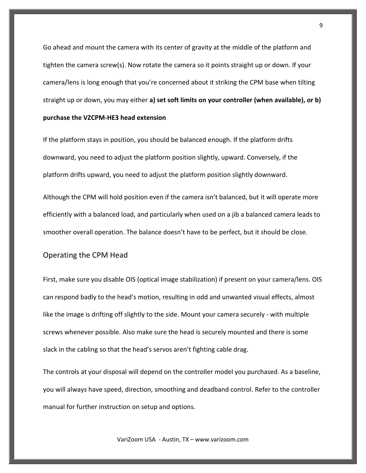Go ahead and mount the camera with its center of gravity at the middle of the platform and tighten the camera screw(s). Now rotate the camera so it points straight up or down. If your camera/lens is long enough that you're concerned about it striking the CPM base when tilting straight up or down, you may either **a) set soft limits on your controller (when available), or b) purchase the VZCPM-HE3 head extension**

If the platform stays in position, you should be balanced enough. If the platform drifts downward, you need to adjust the platform position slightly, upward. Conversely, if the platform drifts upward, you need to adjust the platform position slightly downward.

Although the CPM will hold position even if the camera isn't balanced, but it will operate more efficiently with a balanced load, and particularly when used on a jib a balanced camera leads to smoother overall operation. The balance doesn't have to be perfect, but it should be close.

#### Operating the CPM Head

First, make sure you disable OIS (optical image stabilization) if present on your camera/lens. OIS can respond badly to the head's motion, resulting in odd and unwanted visual effects, almost like the image is drifting off slightly to the side. Mount your camera securely - with multiple screws whenever possible. Also make sure the head is securely mounted and there is some slack in the cabling so that the head's servos aren't fighting cable drag.

The controls at your disposal will depend on the controller model you purchased. As a baseline, you will always have speed, direction, smoothing and deadband control. Refer to the controller manual for further instruction on setup and options.